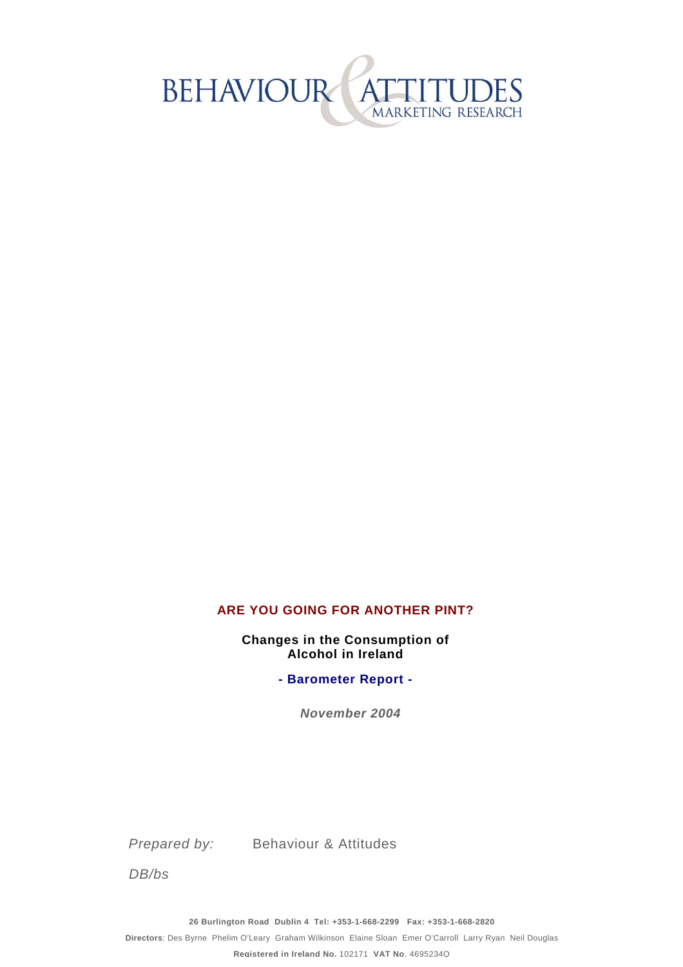

#### **ARE YOU GOING FOR ANOTHER PINT?**

**Alcohol in Ireland Changes in the Consumption of** 

**- Barometer Report -**

*November 2004*

*Prepared by:* Behaviour & Attitudes

*DB/bs*

**26 Burlington Road Dublin 4 Tel: +353-1-668-2299 Fax: +353-1-668-2820** 

**Directors**: Des Byrne Phelim O'Leary Graham Wilkinson Elaine Sloan Emer O'Carroll Larry Ryan Neil Douglas

**Registered in Ireland No.** 102171 **VAT No**. 4695234Q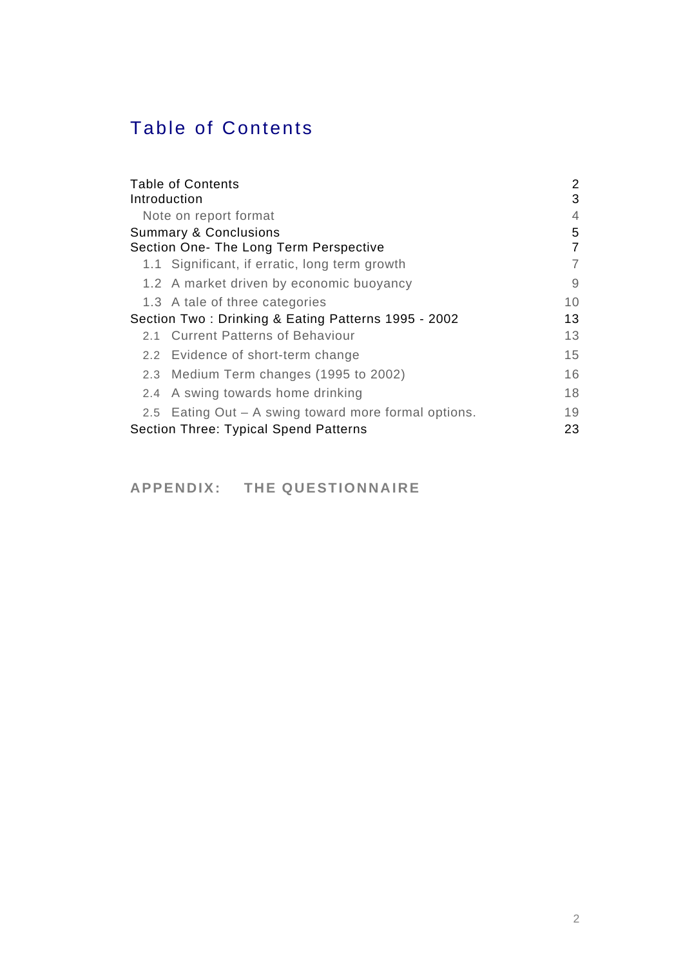# Table of Contents

| <b>Table of Contents</b><br>Introduction             | 2<br>3 |  |
|------------------------------------------------------|--------|--|
|                                                      |        |  |
| Note on report format                                |        |  |
| <b>Summary &amp; Conclusions</b>                     |        |  |
| Section One- The Long Term Perspective               | 7      |  |
| 1.1 Significant, if erratic, long term growth        | 7      |  |
| 1.2 A market driven by economic buoyancy             | 9      |  |
| 1.3 A tale of three categories                       | 10     |  |
| Section Two: Drinking & Eating Patterns 1995 - 2002  | 13     |  |
| 2.1 Current Patterns of Behaviour                    | 13     |  |
| 2.2 Evidence of short-term change                    | 15     |  |
| 2.3 Medium Term changes (1995 to 2002)               | 16     |  |
| 2.4 A swing towards home drinking                    | 18     |  |
| 2.5 Eating Out – A swing toward more formal options. | 19     |  |
| Section Three: Typical Spend Patterns                |        |  |

### **APPENDIX: THE QUESTIONNAIRE**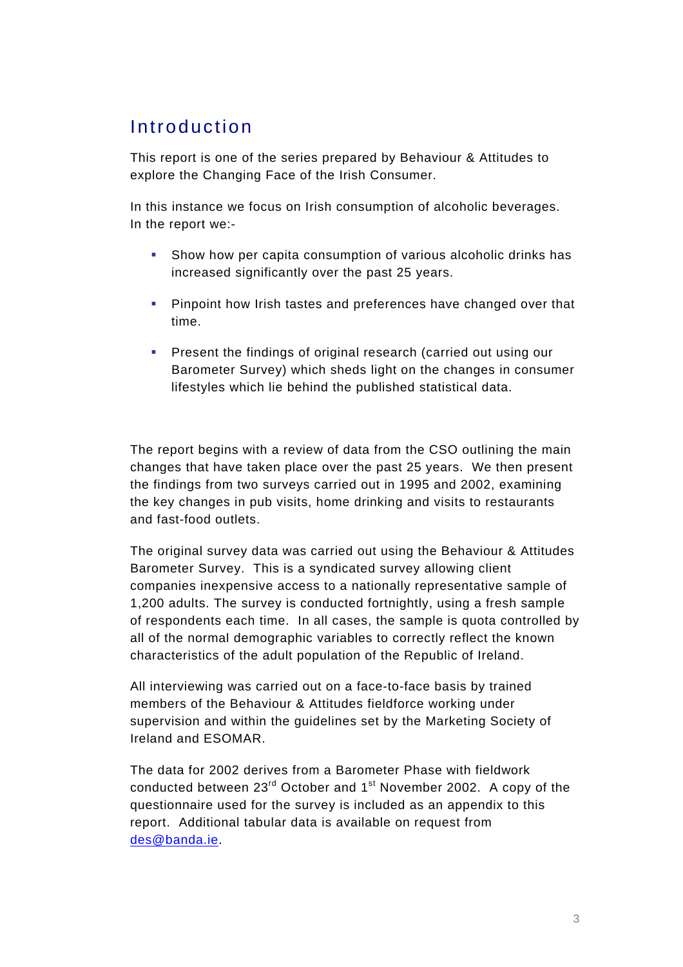## Introduction

This report is one of the series prepared by Behaviour & Attitudes to explore the Changing Face of the Irish Consumer.

In this instance we focus on Irish consumption of alcoholic beverages. In the report we:-

- Show how per capita consumption of various alcoholic drinks has increased significantly over the past 25 years.
- **Pinpoint how Irish tastes and preferences have changed over that** time.
- **Present the findings of original research (carried out using our** Barometer Survey) which sheds light on the changes in consumer lifestyles which lie behind the published statistical data.

The report begins with a review of data from the CSO outlining the main changes that have taken place over the past 25 years. We then present the findings from two surveys carried out in 1995 and 2002, examining the key changes in pub visits, home drinking and visits to restaurants and fast-food outlets.

The original survey data was carried out using the Behaviour & Attitudes Barometer Survey. This is a syndicated survey allowing client companies inexpensive access to a nationally representative sample of 1,200 adults. The survey is conducted fortnightly, using a fresh sample of respondents each time. In all cases, the sample is quota controlled by all of the normal demographic variables to correctly reflect the known characteristics of the adult population of the Republic of Ireland.

All interviewing was carried out on a face-to-face basis by trained members of the Behaviour & Attitudes fieldforce working under supervision and within the guidelines set by the Marketing Society of Ireland and ESOMAR.

The data for 2002 derives from a Barometer Phase with fieldwork conducted between  $23<sup>rd</sup>$  October and  $1<sup>st</sup>$  November 2002. A copy of the questionnaire used for the survey is included as an appendix to this report. Additional tabular data is available on request from des@banda.ie.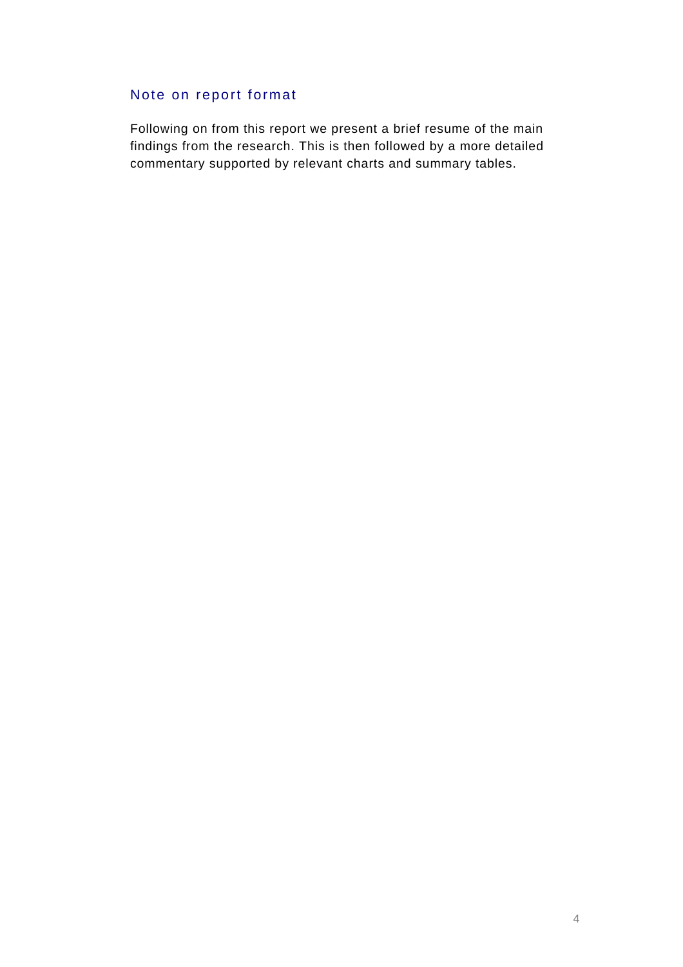#### Note on report format

Following on from this report we present a brief resume of the main findings from the research. This is then followed by a more detailed commentary supported by relevant charts and summary tables.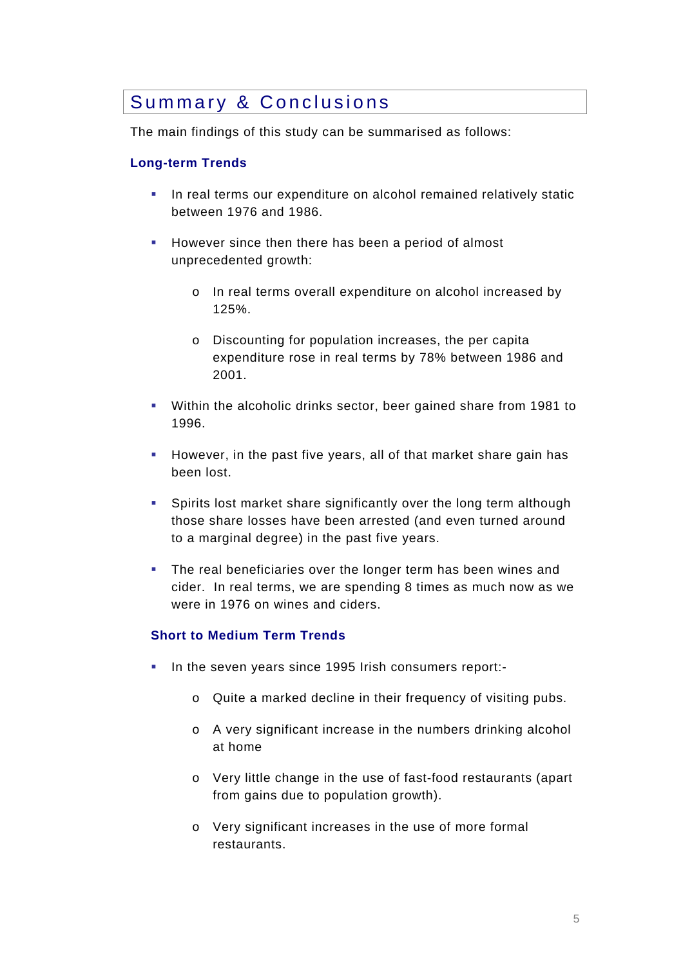### Summary & Conclusions

The main findings of this study can be summarised as follows:

#### **Long-term Trends**

- In real terms our expenditure on alcohol remained relatively static between 1976 and 1986.
- **However since then there has been a period of almost** unprecedented growth:
	- o In real terms overall expenditure on alcohol increased by 125%.
	- o Discounting for population increases, the per capita expenditure rose in real terms by 78% between 1986 and 2001.
- Within the alcoholic drinks sector, beer gained share from 1981 to 1996.
- **However, in the past five years, all of that market share gain has** been lost.
- Spirits lost market share significantly over the long term although those share losses have been arrested (and even turned around to a marginal degree) in the past five years.
- **The real beneficiaries over the longer term has been wines and** cider. In real terms, we are spending 8 times as much now as we were in 1976 on wines and ciders.

#### **Short to Medium Term Trends**

- In the seven years since 1995 Irish consumers report:
	- o Quite a marked decline in their frequency of visiting pubs.
	- o A very significant increase in the numbers drinking alcohol at home
	- o Very little change in the use of fast-food restaurants (apart from gains due to population growth).
	- o Very significant increases in the use of more formal restaurants.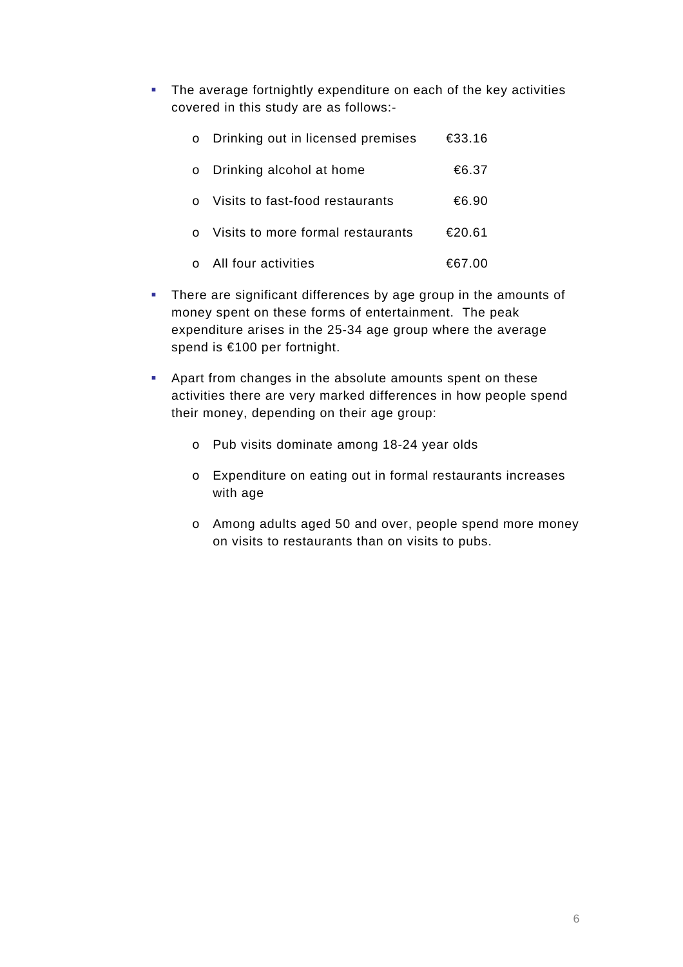The average fortnightly expenditure on each of the key activities covered in this study are as follows:-

| o Drinking out in licensed premises | €33.16 |
|-------------------------------------|--------|
| o Drinking alcohol at home          | €6.37  |
| Visits to fast-food restaurants     | €6.90  |
| Visits to more formal restaurants   | €20.61 |
| All four activities                 | €67.00 |

- **There are significant differences by age group in the amounts of** money spent on these forms of entertainment. The peak expenditure arises in the 25-34 age group where the average spend is €100 per fortnight.
- Apart from changes in the absolute amounts spent on these activities there are very marked differences in how people spend their money, depending on their age group:
	- o Pub visits dominate among 18-24 year olds
	- o Expenditure on eating out in formal restaurants increases with age
	- o Among adults aged 50 and over, people spend more money on visits to restaurants than on visits to pubs.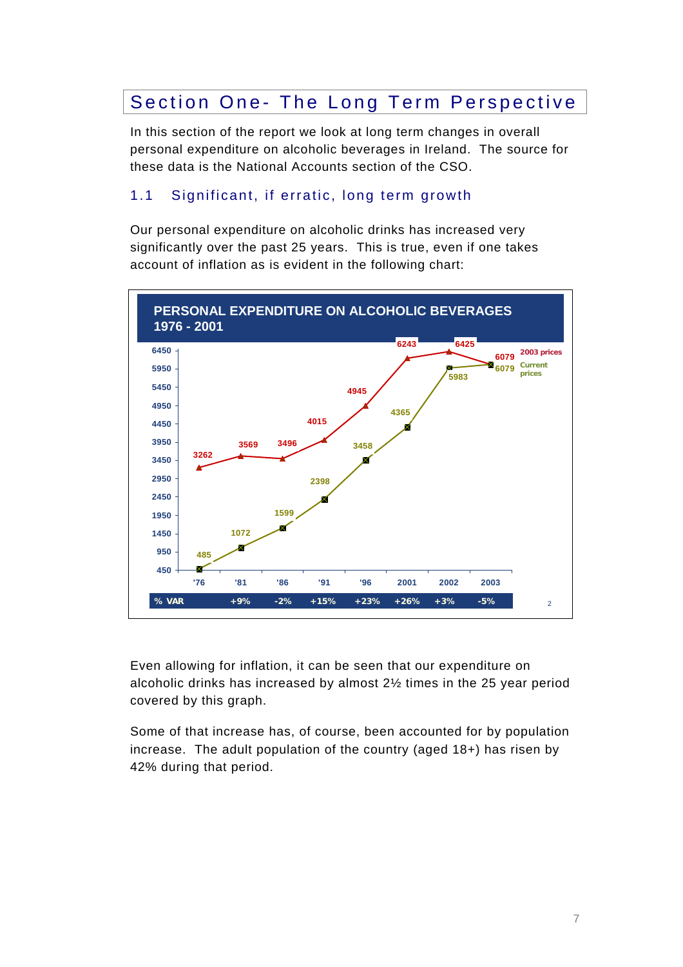## Section One- The Long Term Perspective

In this section of the report we look at long term changes in overall personal expenditure on alcoholic beverages in Ireland. The source for these data is the National Accounts section of the CSO.

#### 1.1 Significant, if erratic, long term growth

Our personal expenditure on alcoholic drinks has increased very significantly over the past 25 years. This is true, even if one takes account of inflation as is evident in the following chart:



Even allowing for inflation, it can be seen that our expenditure on alcoholic drinks has increased by almost 2½ times in the 25 year period covered by this graph.

Some of that increase has, of course, been accounted for by population increase. The adult population of the country (aged 18+) has risen by 42% during that period.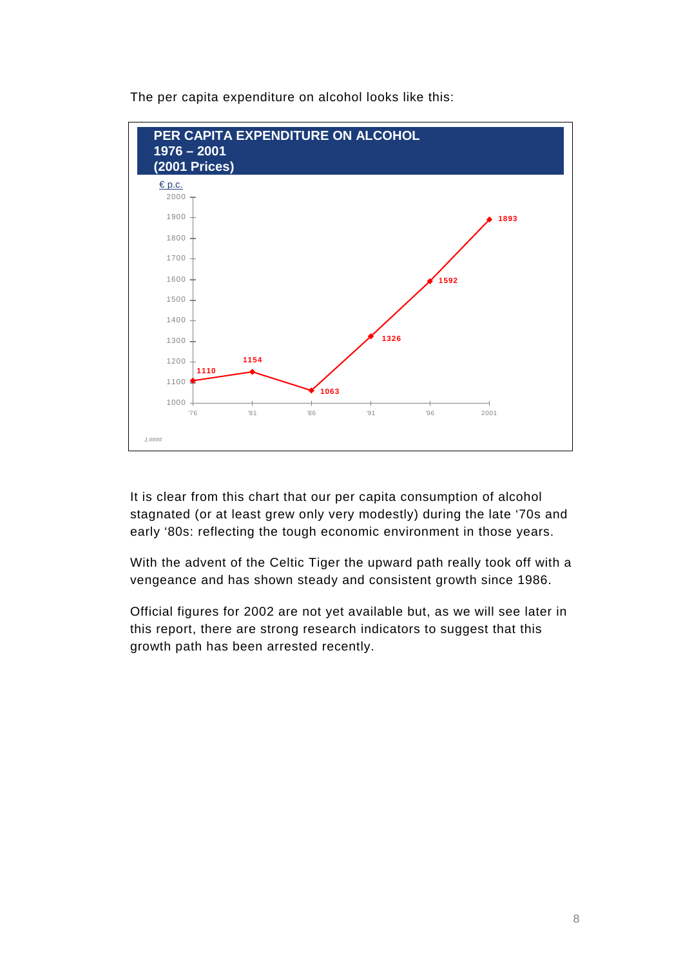

The per capita expenditure on alcohol looks like this:

It is clear from this chart that our per capita consumption of alcohol stagnated (or at least grew only very modestly) during the late '70s and early '80s: reflecting the tough economic environment in those years.

With the advent of the Celtic Tiger the upward path really took off with a vengeance and has shown steady and consistent growth since 1986.

Official figures for 2002 are not yet available but, as we will see later in this report, there are strong research indicators to suggest that this growth path has been arrested recently.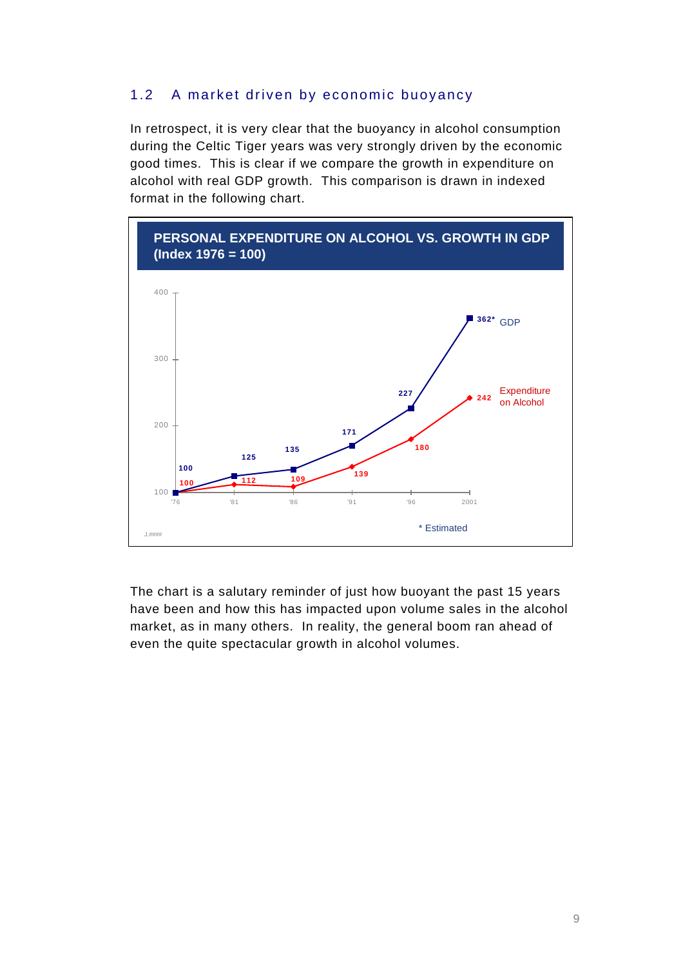#### 1.2 A market driven by economic buoyancy

In retrospect, it is very clear that the buoyancy in alcohol consumption during the Celtic Tiger years was very strongly driven by the economic good times. This is clear if we compare the growth in expenditure on alcohol with real GDP growth. This comparison is drawn in indexed format in the following chart.



The chart is a salutary reminder of just how buoyant the past 15 years have been and how this has impacted upon volume sales in the alcohol market, as in many others. In reality, the general boom ran ahead of even the quite spectacular growth in alcohol volumes.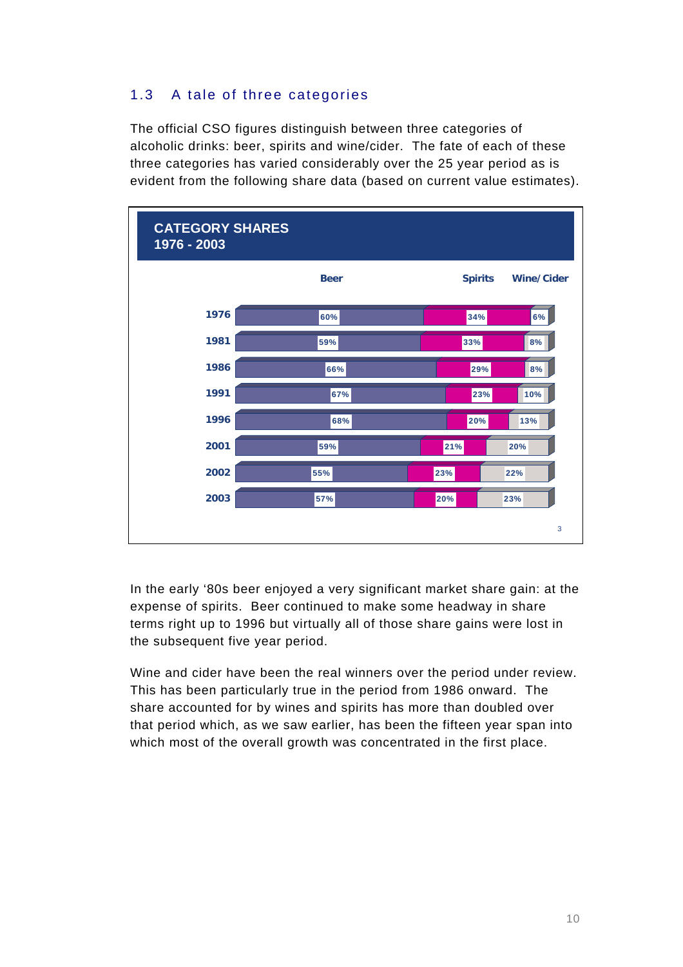### 1.3 A tale of three categories

The official CSO figures distinguish between three categories of alcoholic drinks: beer, spirits and wine/cider. The fate of each of these three categories has varied considerably over the 25 year period as is evident from the following share data (based on current value estimates).

| <b>CATEGORY SHARES</b><br>1976 - 2003 |             |                |                   |
|---------------------------------------|-------------|----------------|-------------------|
|                                       | <b>Beer</b> | <b>Spirits</b> | <b>Wine/Cider</b> |
| 1976                                  | 60%         | 34%            | 6%                |
| 1981                                  | 59%         | 33%            | 8%                |
| 1986                                  | 66%         | 29%            | 8%                |
| 1991                                  | 67%         | 23%            | 10%               |
| 1996                                  | 68%         | 20%            | 13%               |
| 2001                                  | 59%         | 21%            | 20%               |
| 2002                                  | 55%         | 23%            | 22%               |
| 2003                                  | 57%         | 20%            | 23%               |
|                                       |             |                | 3                 |

In the early '80s beer enjoyed a very significant market share gain: at the expense of spirits. Beer continued to make some headway in share terms right up to 1996 but virtually all of those share gains were lost in the subsequent five year period.

Wine and cider have been the real winners over the period under review. This has been particularly true in the period from 1986 onward. The share accounted for by wines and spirits has more than doubled over that period which, as we saw earlier, has been the fifteen year span into which most of the overall growth was concentrated in the first place.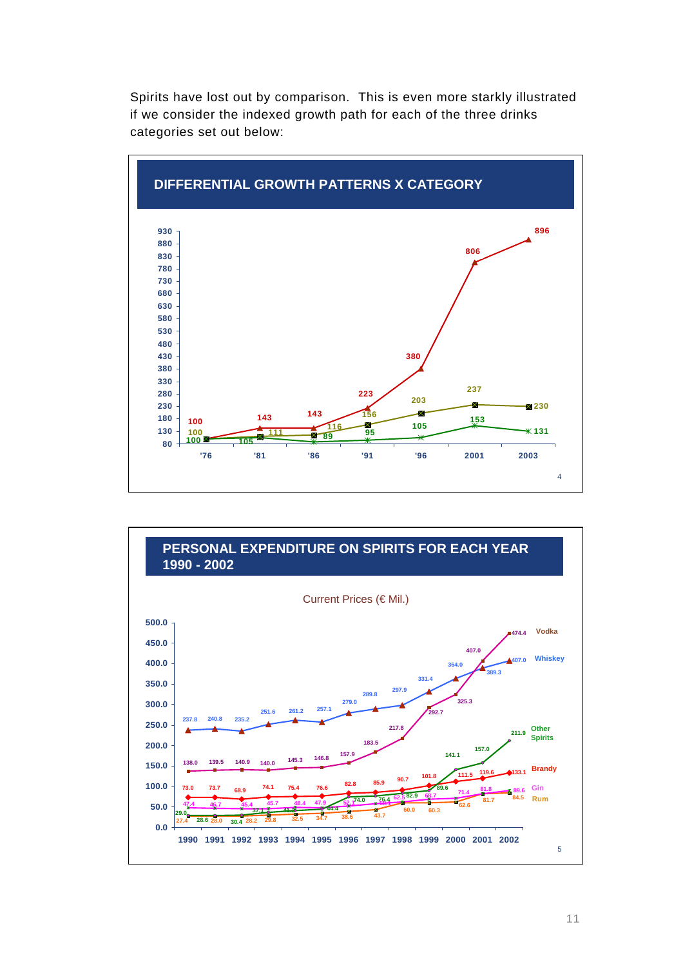Spirits have lost out by comparison. This is even more starkly illustrated if we consider the indexed growth path for each of the three drinks categories set out below:





11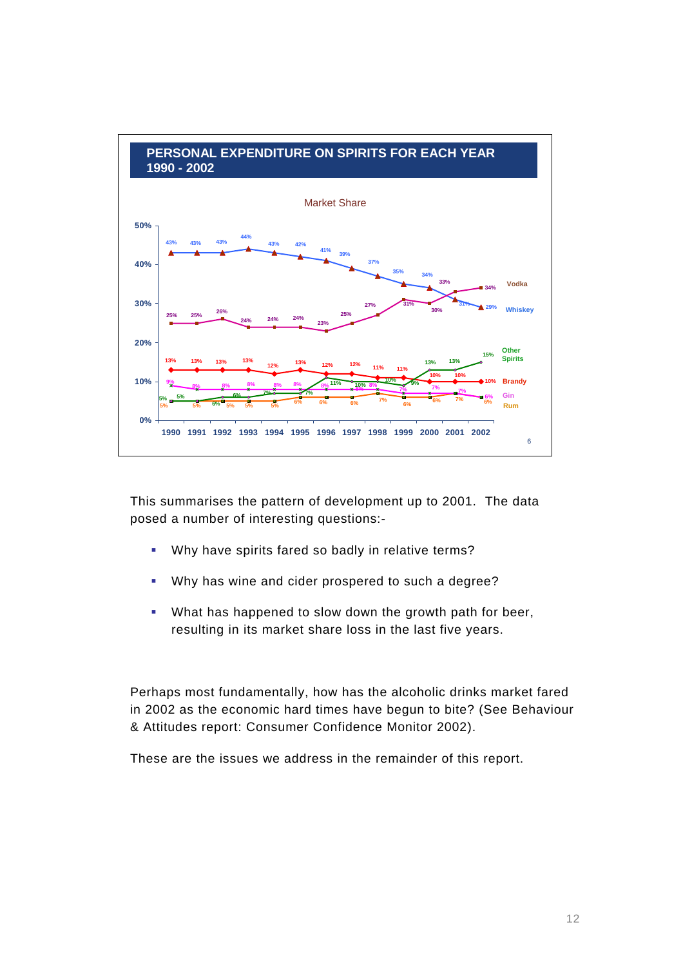

This summarises the pattern of development up to 2001. The data posed a number of interesting questions:-

- Why have spirits fared so badly in relative terms?
- Why has wine and cider prospered to such a degree?
- What has happened to slow down the growth path for beer, resulting in its market share loss in the last five years.

Perhaps most fundamentally, how has the alcoholic drinks market fared in 2002 as the economic hard times have begun to bite? (See Behaviour & Attitudes report: Consumer Confidence Monitor 2002).

These are the issues we address in the remainder of this report.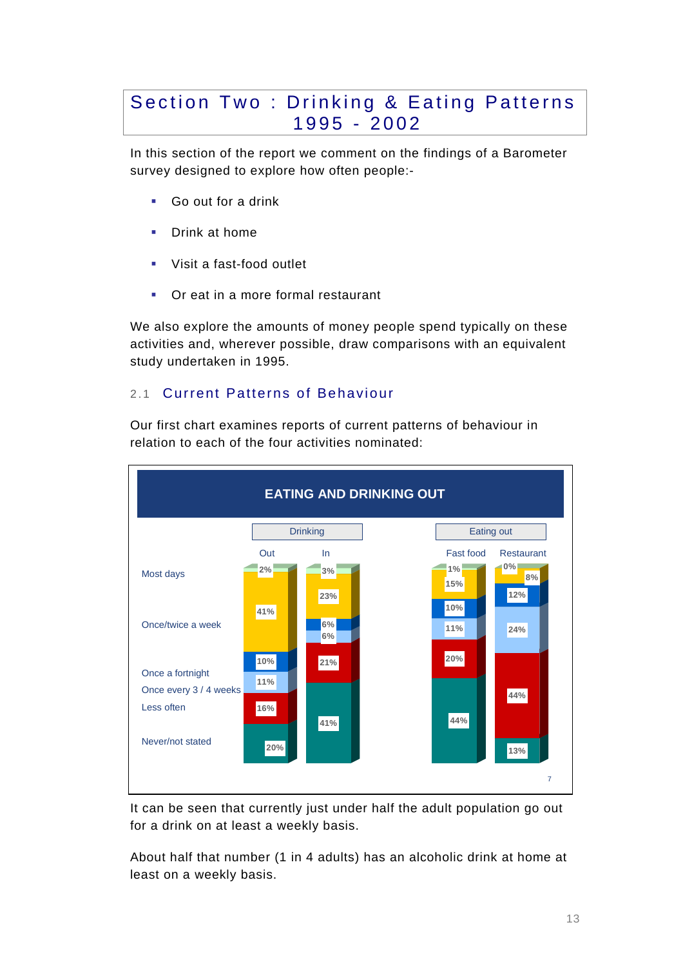### Section Two : Drinking & Eating Patterns 1995 - 2002

In this section of the report we comment on the findings of a Barometer survey designed to explore how often people:-

- Go out for a drink
- **Drink at home**
- Visit a fast-food outlet
- **•** Or eat in a more formal restaurant

We also explore the amounts of money people spend typically on these activities and, wherever possible, draw comparisons with an equivalent study undertaken in 1995.

#### 2.1 Current Patterns of Behaviour

7 **EATING AND DRINKING OUT 20% 16% 11% 10% 41% 2% 41% 21% 6% 6% 23% 3% 44% 20% 11% 10% 15% 1% 13% 44% 24% 12% 8% 0%** Most days Once/twice a week Once a fortnight Once every 3 / 4 weeks Less often Never/not stated Out In In Fast food Restaurant Drinking | Eating out

Our first chart examines reports of current patterns of behaviour in relation to each of the four activities nominated:

It can be seen that currently just under half the adult population go out for a drink on at least a weekly basis.

About half that number (1 in 4 adults) has an alcoholic drink at home at least on a weekly basis.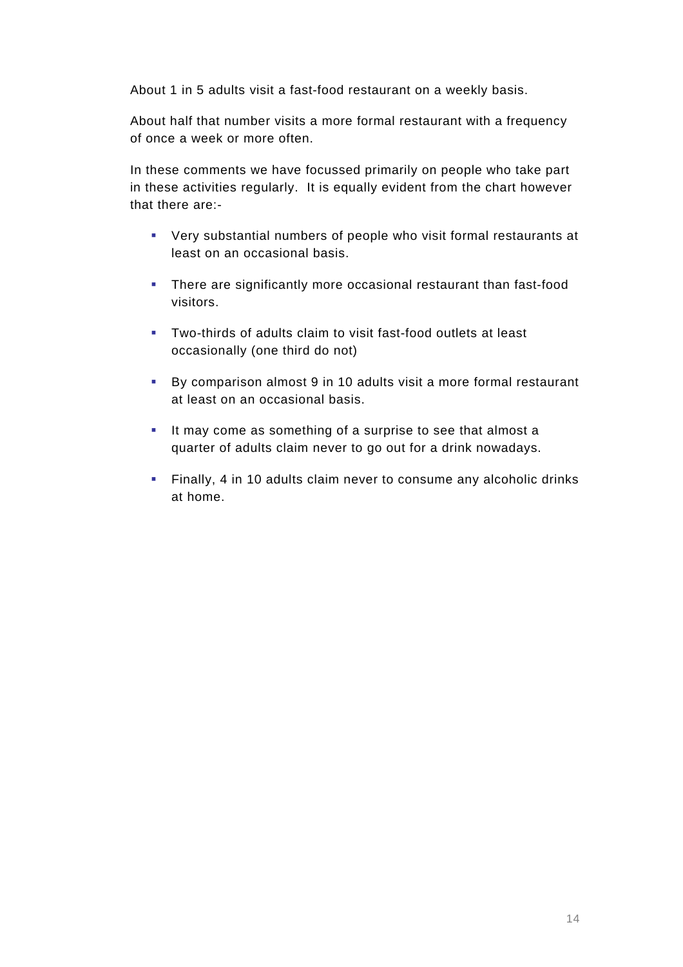About 1 in 5 adults visit a fast-food restaurant on a weekly basis.

About half that number visits a more formal restaurant with a frequency of once a week or more often.

In these comments we have focussed primarily on people who take part in these activities regularly. It is equally evident from the chart however that there are:-

- Very substantial numbers of people who visit formal restaurants at least on an occasional basis.
- **There are significantly more occasional restaurant than fast-food** visitors.
- Two-thirds of adults claim to visit fast-food outlets at least occasionally (one third do not)
- By comparison almost 9 in 10 adults visit a more formal restaurant at least on an occasional basis.
- It may come as something of a surprise to see that almost a quarter of adults claim never to go out for a drink nowadays.
- Finally, 4 in 10 adults claim never to consume any alcoholic drinks at home.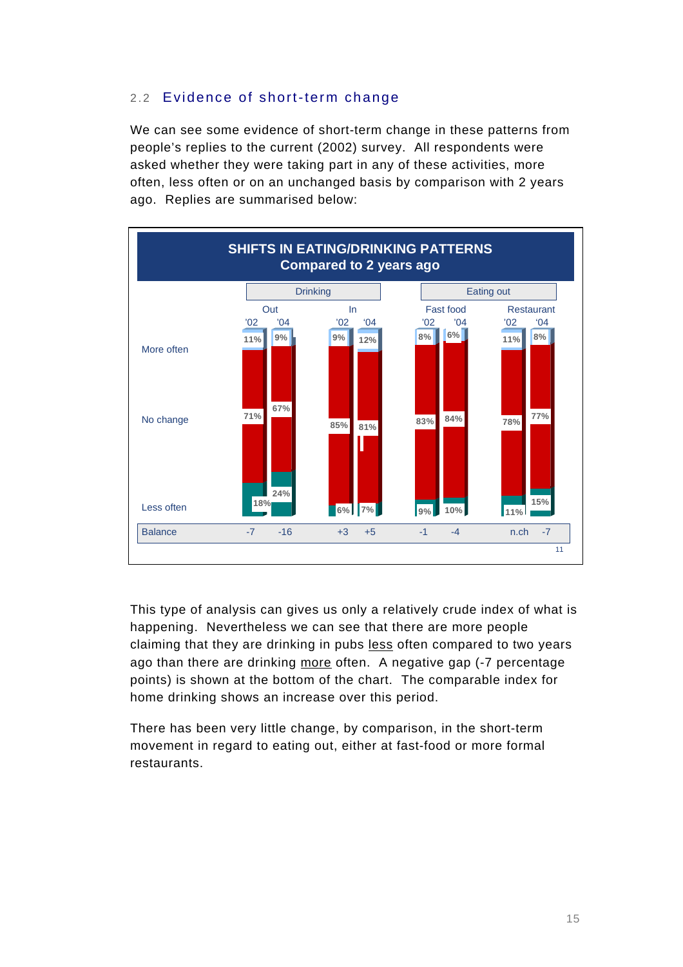#### 2.2 Evidence of short-term change

We can see some evidence of short-term change in these patterns from people's replies to the current (2002) survey. All respondents were asked whether they were taking part in any of these activities, more often, less often or on an unchanged basis by comparison with 2 years ago. Replies are summarised below:



This type of analysis can gives us only a relatively crude index of what is happening. Nevertheless we can see that there are more people claiming that they are drinking in pubs less often compared to two years ago than there are drinking more often. A negative gap (-7 percentage points) is shown at the bottom of the chart. The comparable index for home drinking shows an increase over this period.

There has been very little change, by comparison, in the short-term movement in regard to eating out, either at fast-food or more formal restaurants.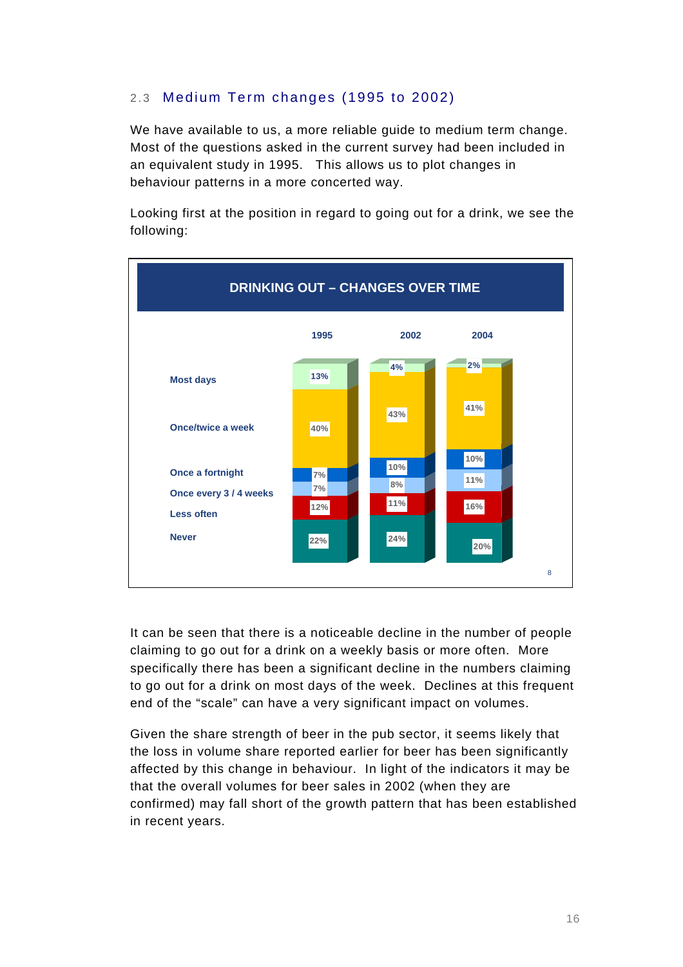#### 2.3 Medium Term changes (1995 to 2002)

We have available to us, a more reliable guide to medium term change. Most of the questions asked in the current survey had been included in an equivalent study in 1995. This allows us to plot changes in behaviour patterns in a more concerted way.

Looking first at the position in regard to going out for a drink, we see the following:



It can be seen that there is a noticeable decline in the number of people claiming to go out for a drink on a weekly basis or more often. More specifically there has been a significant decline in the numbers claiming to go out for a drink on most days of the week. Declines at this frequent end of the "scale" can have a very significant impact on volumes.

Given the share strength of beer in the pub sector, it seems likely that the loss in volume share reported earlier for beer has been significantly affected by this change in behaviour. In light of the indicators it may be that the overall volumes for beer sales in 2002 (when they are confirmed) may fall short of the growth pattern that has been established in recent years.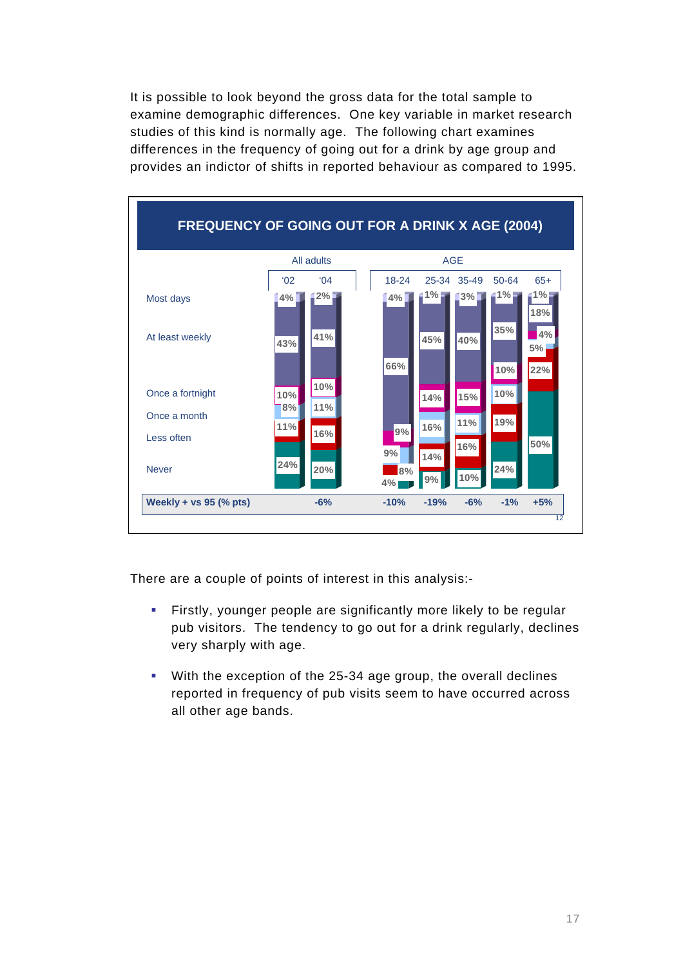It is possible to look beyond the gross data for the total sample to examine demographic differences. One key variable in market research studies of this kind is normally age. The following chart examines differences in the frequency of going out for a drink by age group and provides an indictor of shifts in reported behaviour as compared to 1995.



There are a couple of points of interest in this analysis:-

- **Firstly, younger people are significantly more likely to be regular** pub visitors. The tendency to go out for a drink regularly, declines very sharply with age.
- With the exception of the 25-34 age group, the overall declines reported in frequency of pub visits seem to have occurred across all other age bands.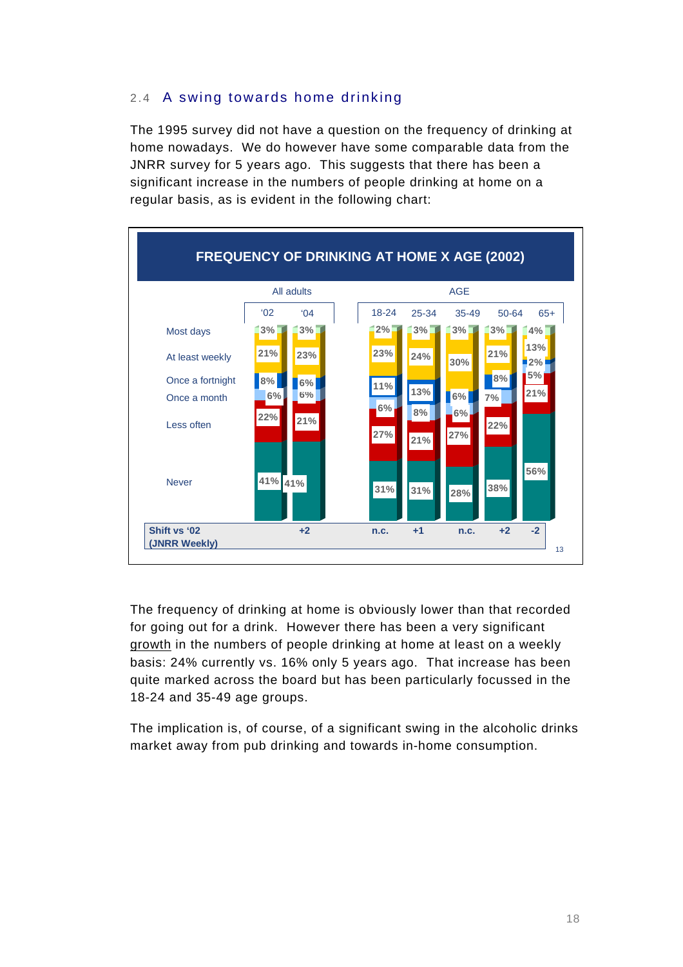#### 2.4 A swing towards home drinking

The 1995 survey did not have a question on the frequency of drinking at home nowadays. We do however have some comparable data from the JNRR survey for 5 years ago. This suggests that there has been a significant increase in the numbers of people drinking at home on a regular basis, as is evident in the following chart:



The frequency of drinking at home is obviously lower than that recorded for going out for a drink. However there has been a very significant growth in the numbers of people drinking at home at least on a weekly basis: 24% currently vs. 16% only 5 years ago. That increase has been quite marked across the board but has been particularly focussed in the 18-24 and 35-49 age groups.

The implication is, of course, of a significant swing in the alcoholic drinks market away from pub drinking and towards in-home consumption.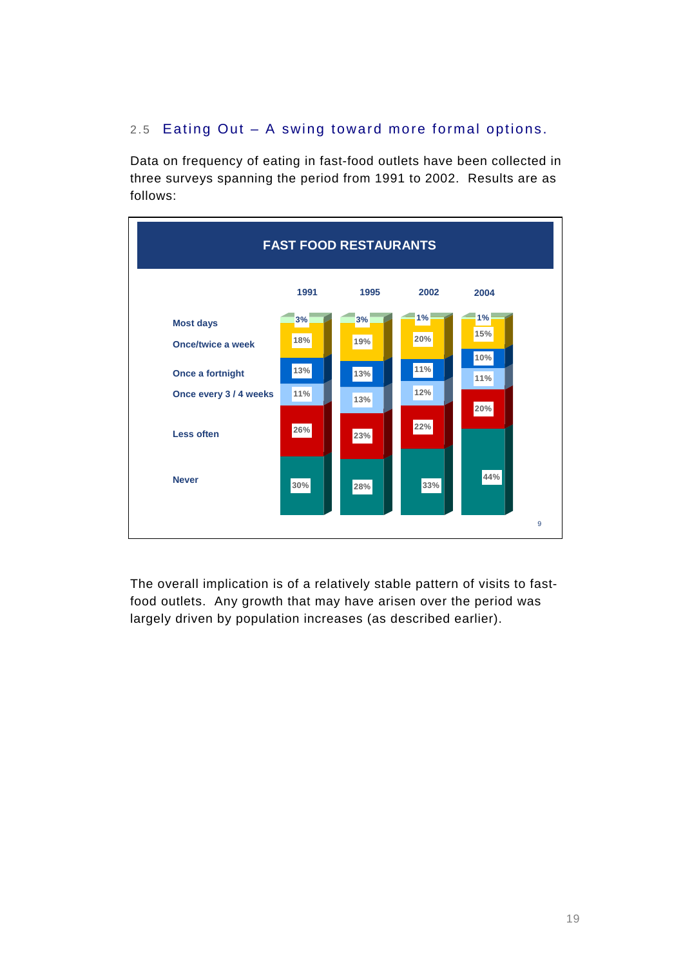#### 2.5 Eating Out – A swing toward more formal options.

Data on frequency of eating in fast-food outlets have been collected in three surveys spanning the period from 1991 to 2002. Results are as follows:



The overall implication is of a relatively stable pattern of visits to fastfood outlets. Any growth that may have arisen over the period was largely driven by population increases (as described earlier).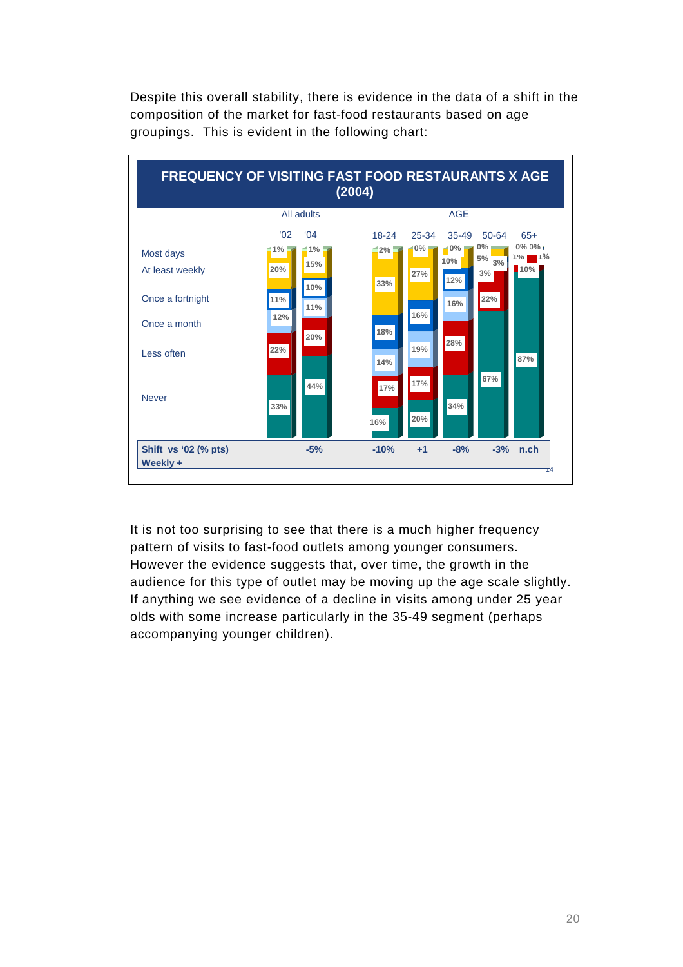Despite this overall stability, there is evidence in the data of a shift in the composition of the market for fast-food restaurants based on age groupings. This is evident in the following chart:



It is not too surprising to see that there is a much higher frequency pattern of visits to fast-food outlets among younger consumers. However the evidence suggests that, over time, the growth in the audience for this type of outlet may be moving up the age scale slightly. If anything we see evidence of a decline in visits among under 25 year olds with some increase particularly in the 35-49 segment (perhaps accompanying younger children).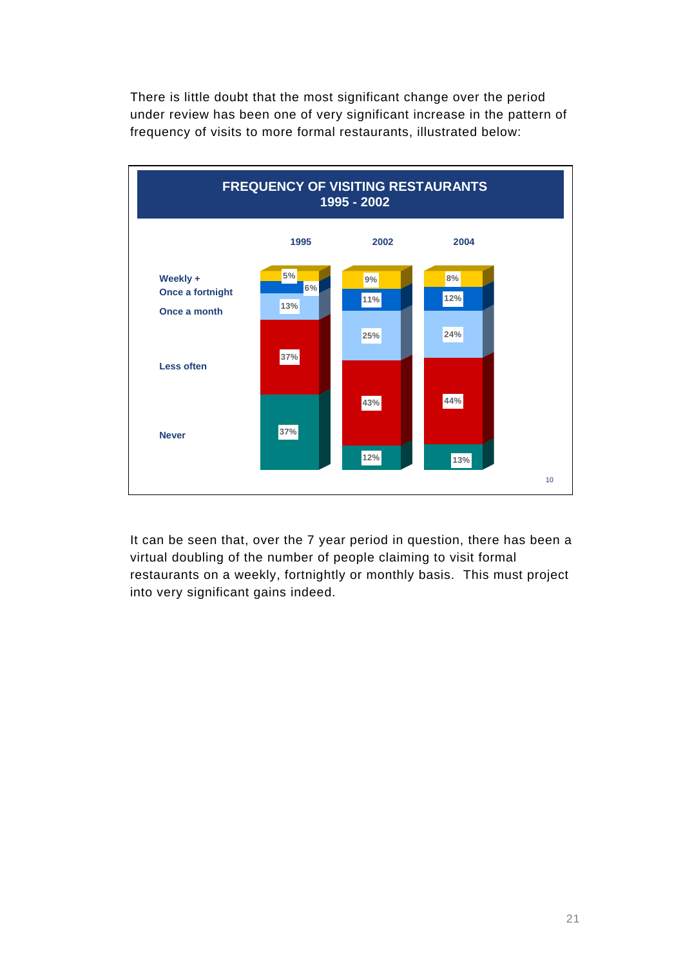There is little doubt that the most significant change over the period under review has been one of very significant increase in the pattern of frequency of visits to more formal restaurants, illustrated below:



It can be seen that, over the 7 year period in question, there has been a virtual doubling of the number of people claiming to visit formal restaurants on a weekly, fortnightly or monthly basis. This must project into very significant gains indeed.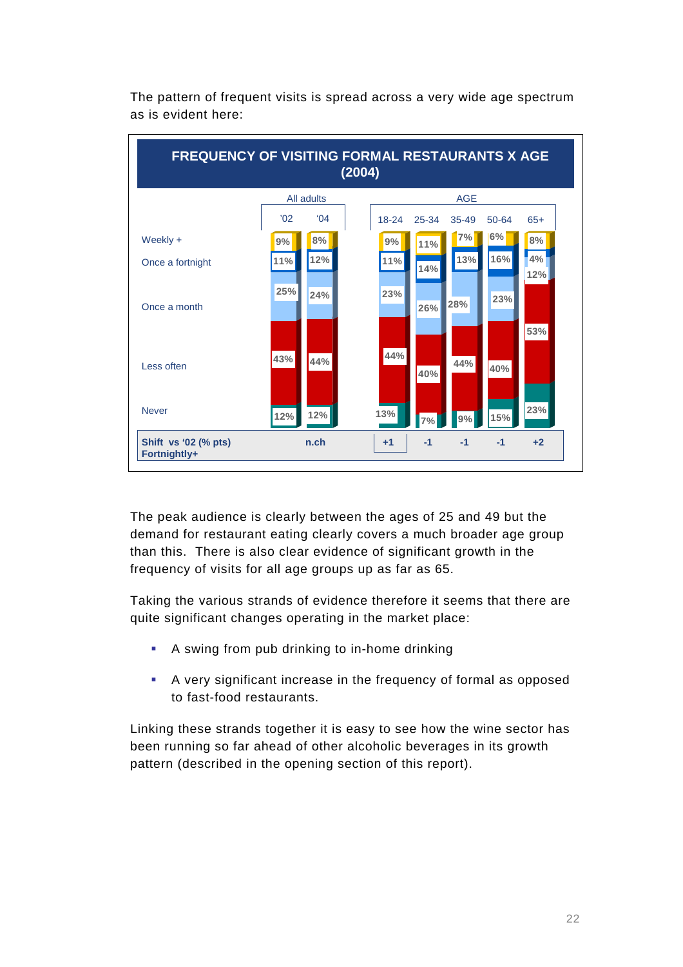

The pattern of frequent visits is spread across a very wide age spectrum as is evident here:

The peak audience is clearly between the ages of 25 and 49 but the demand for restaurant eating clearly covers a much broader age group than this. There is also clear evidence of significant growth in the frequency of visits for all age groups up as far as 65.

Taking the various strands of evidence therefore it seems that there are quite significant changes operating in the market place:

- A swing from pub drinking to in-home drinking
- A very significant increase in the frequency of formal as opposed to fast-food restaurants.

Linking these strands together it is easy to see how the wine sector has been running so far ahead of other alcoholic beverages in its growth pattern (described in the opening section of this report).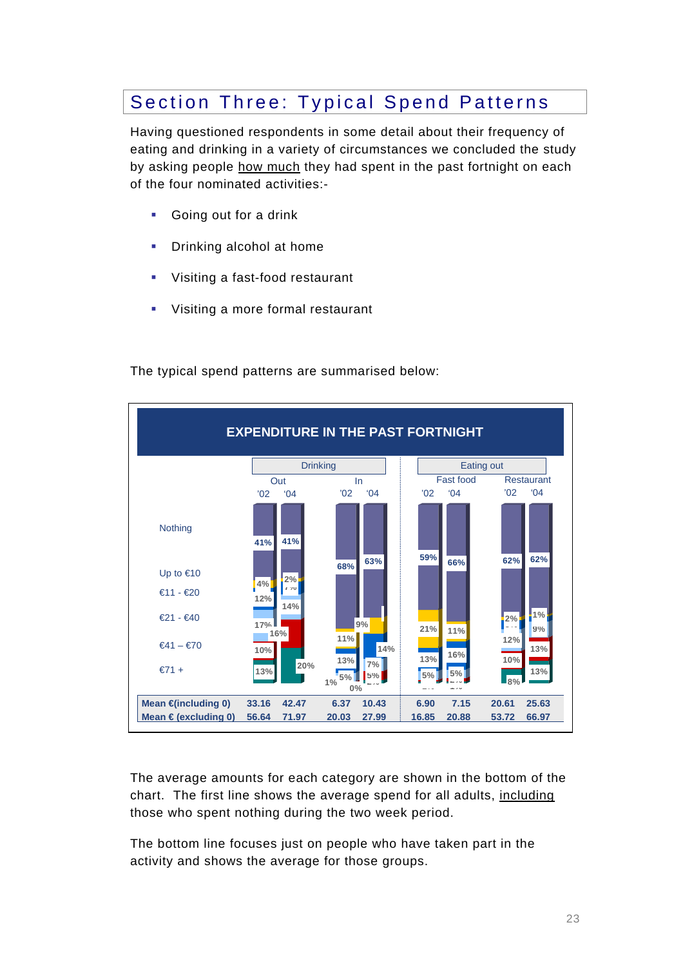### Section Three: Typical Spend Patterns

Having questioned respondents in some detail about their frequency of eating and drinking in a variety of circumstances we concluded the study by asking people how much they had spent in the past fortnight on each of the four nominated activities:-

- **Going out for a drink**
- **Drinking alcohol at home**
- **Visiting a fast-food restaurant**
- **Visiting a more formal restaurant**



The typical spend patterns are summarised below:

The average amounts for each category are shown in the bottom of the chart. The first line shows the average spend for all adults, including those who spent nothing during the two week period.

The bottom line focuses just on people who have taken part in the activity and shows the average for those groups.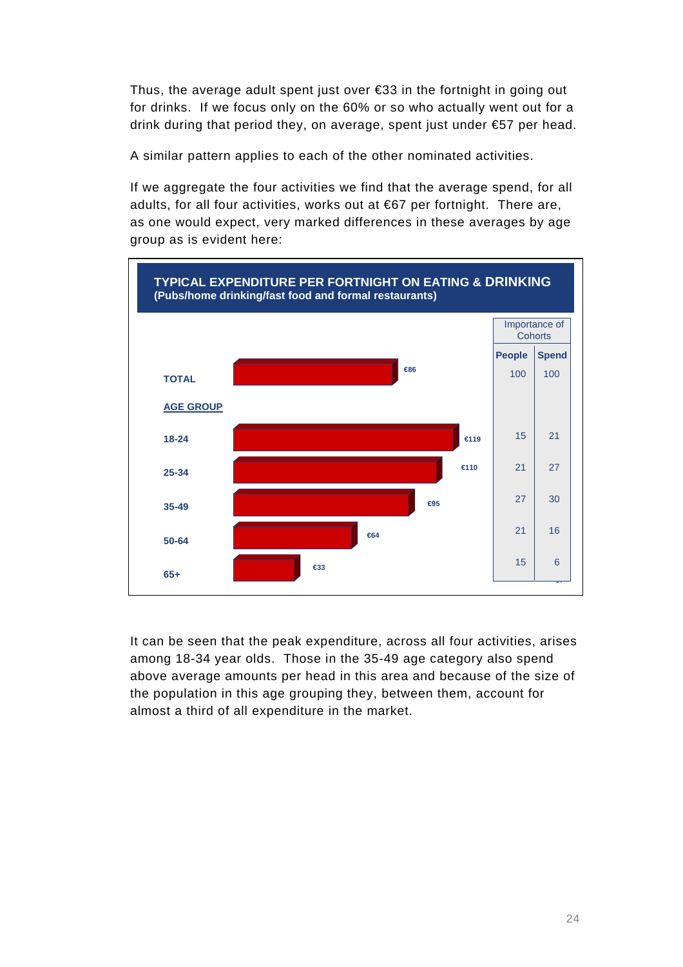Thus, the average adult spent just over €33 in the fortnight in going out for drinks. If we focus only on the 60% or so who actually went out for a drink during that period they, on average, spent just under €57 per head.

A similar pattern applies to each of the other nominated activities.

If we aggregate the four activities we find that the average spend, for all adults, for all four activities, works out at €67 per fortnight. There are, as one would expect, very marked differences in these averages by age group as is evident here:



It can be seen that the peak expenditure, across all four activities, arises among 18-34 year olds. Those in the 35-49 age category also spend above average amounts per head in this area and because of the size of the population in this age grouping they, between them, account for almost a third of all expenditure in the market.